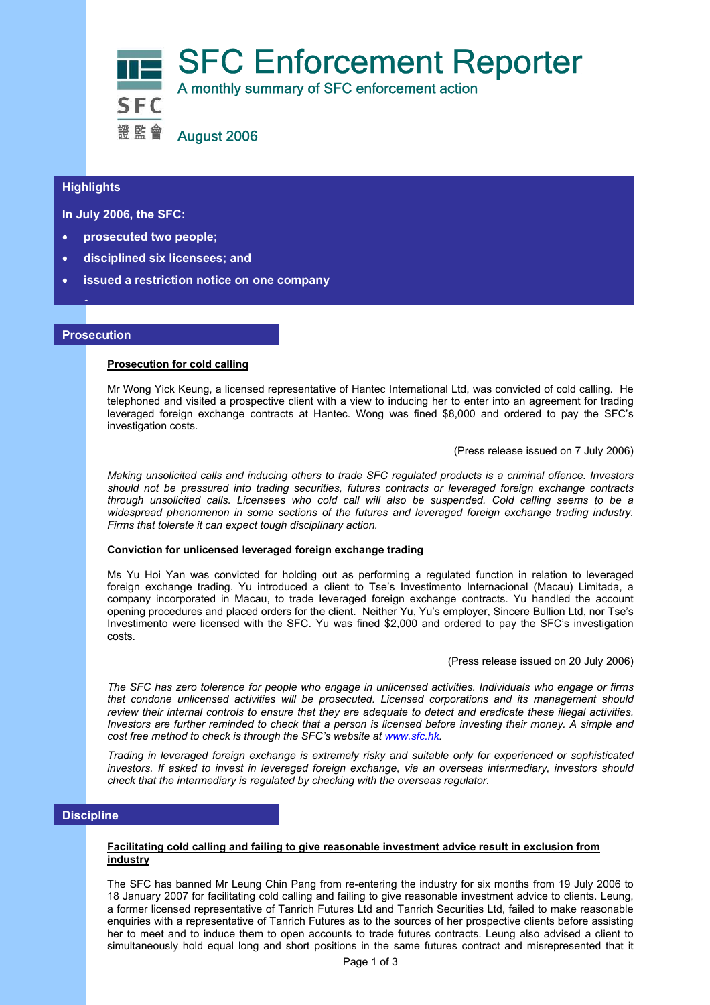

#### **Highlights Highlights**

**In July 2006, the SFC:** 

- **prosecuted two people;**
- **disciplined six licensees; and**
- **issued a restriction notice on one company**

#### **Prosecution**

•

#### **Prosecution for cold calling**

Mr Wong Yick Keung, a licensed representative of Hantec International Ltd, was convicted of cold calling. He telephoned and visited a prospective client with a view to inducing her to enter into an agreement for trading leveraged foreign exchange contracts at Hantec. Wong was fined \$8,000 and ordered to pay the SFC's investigation costs.

(Press release issued on 7 July 2006)

*Making unsolicited calls and inducing others to trade SFC regulated products is a criminal offence. Investors should not be pressured into trading securities, futures contracts or leveraged foreign exchange contracts through unsolicited calls. Licensees who cold call will also be suspended. Cold calling seems to be a widespread phenomenon in some sections of the futures and leveraged foreign exchange trading industry. Firms that tolerate it can expect tough disciplinary action.*

#### **Conviction for unlicensed leveraged foreign exchange trading**

Ms Yu Hoi Yan was convicted for holding out as performing a regulated function in relation to leveraged foreign exchange trading. Yu introduced a client to Tse's Investimento Internacional (Macau) Limitada, a company incorporated in Macau, to trade leveraged foreign exchange contracts. Yu handled the account opening procedures and placed orders for the client. Neither Yu, Yu's employer, Sincere Bullion Ltd, nor Tse's Investimento were licensed with the SFC. Yu was fined \$2,000 and ordered to pay the SFC's investigation costs.

(Press release issued on 20 July 2006)

*The SFC has zero tolerance for people who engage in unlicensed activities. Individuals who engage or firms that condone unlicensed activities will be prosecuted. Licensed corporations and its management should review their internal controls to ensure that they are adequate to detect and eradicate these illegal activities. Investors are further reminded to check that a person is licensed before investing their money. A simple and cost free method to check is through the SFC's website at www.sfc.hk.* 

*Trading in leveraged foreign exchange is extremely risky and suitable only for experienced or sophisticated investors. If asked to invest in leveraged foreign exchange, via an overseas intermediary, investors should check that the intermediary is regulated by checking with the overseas regulator.* 

# **Discipline**

#### **Facilitating cold calling and failing to give reasonable investment advice result in exclusion from industry**

The SFC has banned Mr Leung Chin Pang from re-entering the industry for six months from 19 July 2006 to 18 January 2007 for facilitating cold calling and failing to give reasonable investment advice to clients. Leung, a former licensed representative of Tanrich Futures Ltd and Tanrich Securities Ltd, failed to make reasonable enquiries with a representative of Tanrich Futures as to the sources of her prospective clients before assisting her to meet and to induce them to open accounts to trade futures contracts. Leung also advised a client to simultaneously hold equal long and short positions in the same futures contract and misrepresented that it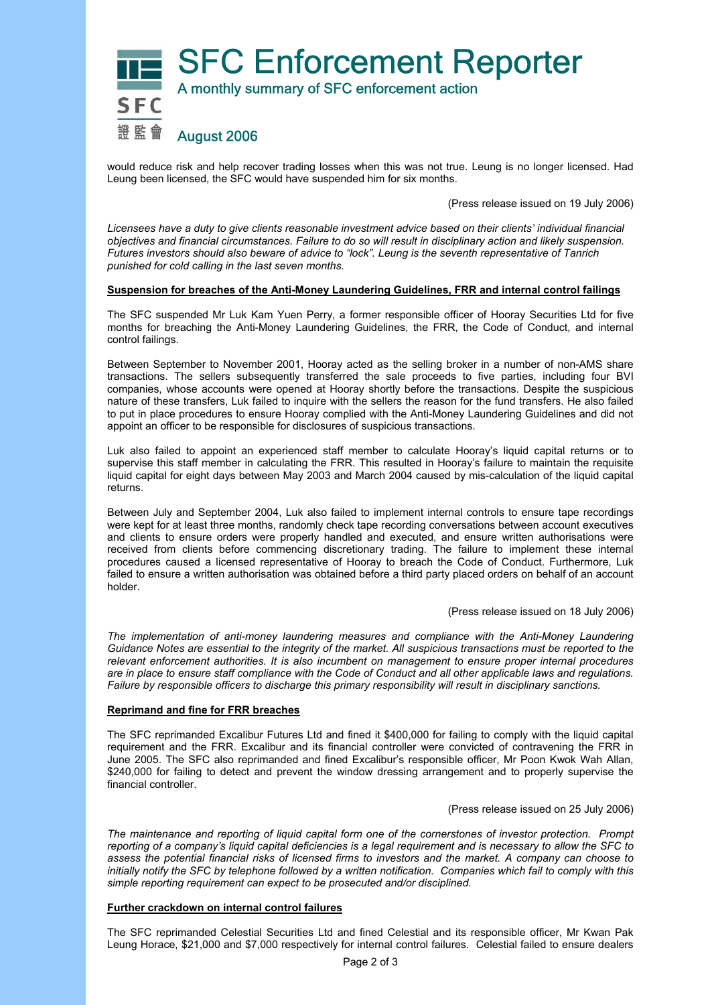

would reduce risk and help recover trading losses when this was not true. Leung is no longer licensed. Had Leung been licensed, the SFC would have suspended him for six months.

(Press release issued on 19 July 2006)

*Licensees have a duty to give clients reasonable investment advice based on their clients' individual financial objectives and financial circumstances. Failure to do so will result in disciplinary action and likely suspension. Futures investors should also beware of advice to "lock". Leung is the seventh representative of Tanrich punished for cold calling in the last seven months.* 

#### **Suspension for breaches of the Anti-Money Laundering Guidelines, FRR and internal control failings**

The SFC suspended Mr Luk Kam Yuen Perry, a former responsible officer of Hooray Securities Ltd for five months for breaching the Anti-Money Laundering Guidelines, the FRR, the Code of Conduct, and internal control failings.

Between September to November 2001, Hooray acted as the selling broker in a number of non-AMS share transactions. The sellers subsequently transferred the sale proceeds to five parties, including four BVI companies, whose accounts were opened at Hooray shortly before the transactions. Despite the suspicious nature of these transfers, Luk failed to inquire with the sellers the reason for the fund transfers. He also failed to put in place procedures to ensure Hooray complied with the Anti-Money Laundering Guidelines and did not appoint an officer to be responsible for disclosures of suspicious transactions.

Luk also failed to appoint an experienced staff member to calculate Hooray's liquid capital returns or to supervise this staff member in calculating the FRR. This resulted in Hooray's failure to maintain the requisite liquid capital for eight days between May 2003 and March 2004 caused by mis-calculation of the liquid capital returns.

Between July and September 2004, Luk also failed to implement internal controls to ensure tape recordings were kept for at least three months, randomly check tape recording conversations between account executives and clients to ensure orders were properly handled and executed, and ensure written authorisations were received from clients before commencing discretionary trading. The failure to implement these internal procedures caused a licensed representative of Hooray to breach the Code of Conduct. Furthermore, Luk failed to ensure a written authorisation was obtained before a third party placed orders on behalf of an account holder.

(Press release issued on 18 July 2006)

*The implementation of anti-money laundering measures and compliance with the Anti-Money Laundering Guidance Notes are essential to the integrity of the market. All suspicious transactions must be reported to the relevant enforcement authorities. It is also incumbent on management to ensure proper internal procedures are in place to ensure staff compliance with the Code of Conduct and all other applicable laws and regulations. Failure by responsible officers to discharge this primary responsibility will result in disciplinary sanctions.* 

### **Reprimand and fine for FRR breaches**

The SFC reprimanded Excalibur Futures Ltd and fined it \$400,000 for failing to comply with the liquid capital requirement and the FRR. Excalibur and its financial controller were convicted of contravening the FRR in June 2005. The SFC also reprimanded and fined Excalibur's responsible officer, Mr Poon Kwok Wah Allan, \$240,000 for failing to detect and prevent the window dressing arrangement and to properly supervise the financial controller.

(Press release issued on 25 July 2006)

*The maintenance and reporting of liquid capital form one of the cornerstones of investor protection. Prompt reporting of a company's liquid capital deficiencies is a legal requirement and is necessary to allow the SFC to assess the potential financial risks of licensed firms to investors and the market. A company can choose to initially notify the SFC by telephone followed by a written notification. Companies which fail to comply with this simple reporting requirement can expect to be prosecuted and/or disciplined.* 

#### **Further crackdown on internal control failures**

The SFC reprimanded Celestial Securities Ltd and fined Celestial and its responsible officer, Mr Kwan Pak Leung Horace, \$21,000 and \$7,000 respectively for internal control failures. Celestial failed to ensure dealers